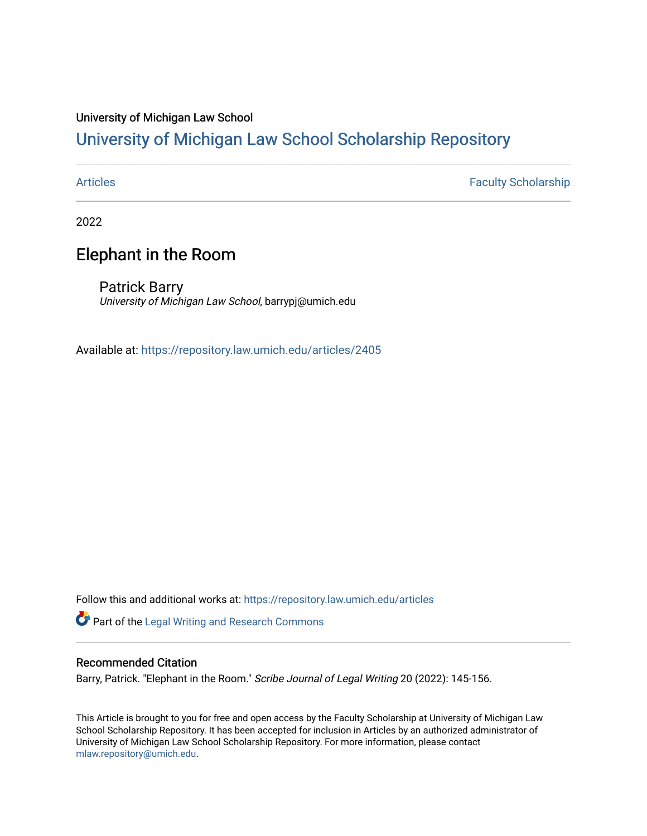#### University of Michigan Law School

### [University of Michigan Law School Scholarship Repository](https://repository.law.umich.edu/)

[Articles](https://repository.law.umich.edu/articles) **Faculty Scholarship** 

2022

### Elephant in the Room

Patrick Barry University of Michigan Law School, barrypj@umich.edu

Available at: <https://repository.law.umich.edu/articles/2405>

Follow this and additional works at: [https://repository.law.umich.edu/articles](https://repository.law.umich.edu/articles?utm_source=repository.law.umich.edu%2Farticles%2F2405&utm_medium=PDF&utm_campaign=PDFCoverPages) 

Part of the [Legal Writing and Research Commons](http://network.bepress.com/hgg/discipline/614?utm_source=repository.law.umich.edu%2Farticles%2F2405&utm_medium=PDF&utm_campaign=PDFCoverPages) 

#### Recommended Citation

Barry, Patrick. "Elephant in the Room." Scribe Journal of Legal Writing 20 (2022): 145-156.

This Article is brought to you for free and open access by the Faculty Scholarship at University of Michigan Law School Scholarship Repository. It has been accepted for inclusion in Articles by an authorized administrator of University of Michigan Law School Scholarship Repository. For more information, please contact [mlaw.repository@umich.edu.](mailto:mlaw.repository@umich.edu)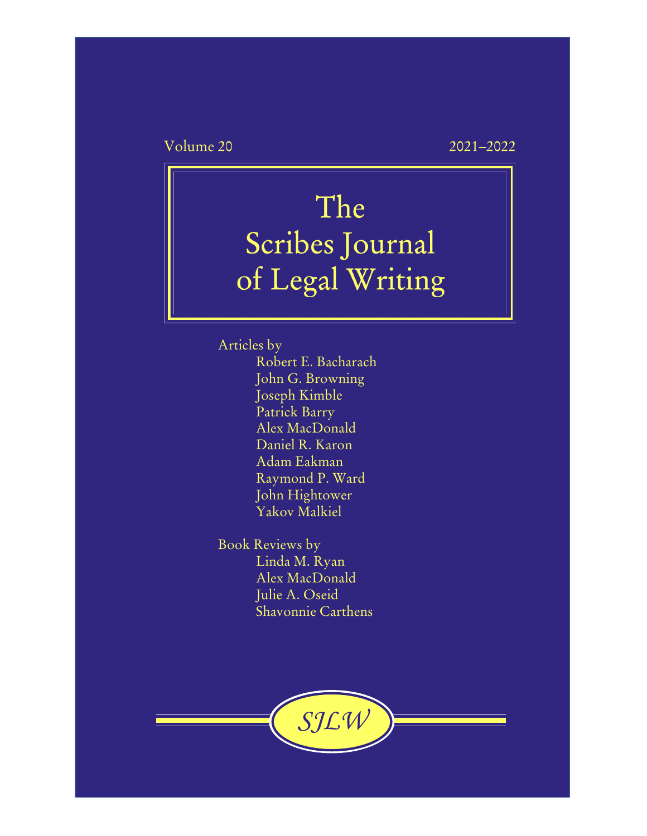Volume 20 2021–2022

# The Scribes Journal of Legal Writing

Articles by Robert E. Bacharach John G. Browning Joseph Kimble Patrick Barry Alex MacDonald Daniel R. Karon Adam Eakman Raymond P. Ward John Hightower Yakov Malkiel

Book Reviews by Linda M. Ryan Alex MacDonald Julie A. Oseid Shavonnie Carthens

*SJLW*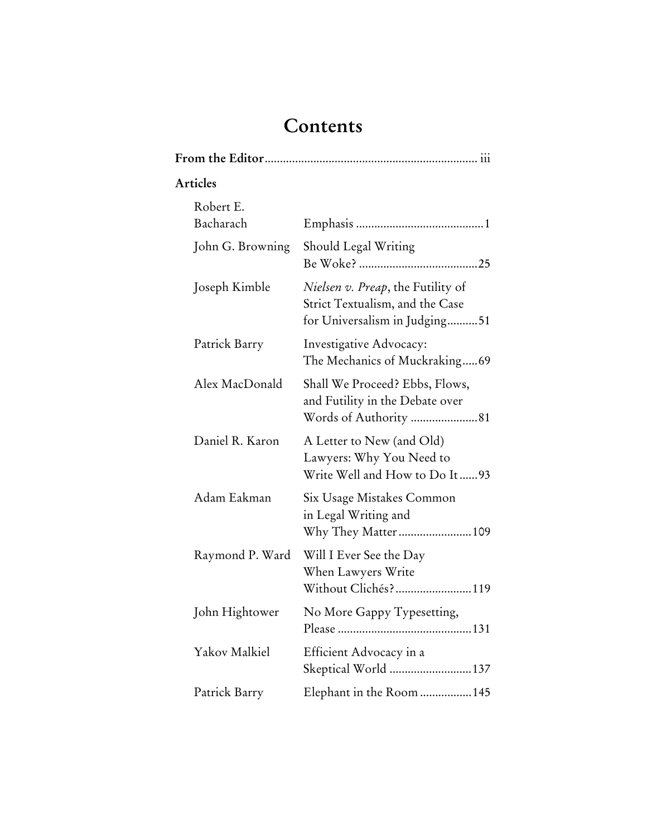# **Contents**

| Articles               |                                                                                                       |  |
|------------------------|-------------------------------------------------------------------------------------------------------|--|
| Robert E.<br>Bacharach |                                                                                                       |  |
| John G. Browning       | Should Legal Writing                                                                                  |  |
| Joseph Kimble          | Nielsen v. Preap, the Futility of<br>Strict Textualism, and the Case<br>for Universalism in Judging51 |  |
| Patrick Barry          | Investigative Advocacy:<br>The Mechanics of Muckraking69                                              |  |
| Alex MacDonald         | Shall We Proceed? Ebbs, Flows,<br>and Futility in the Debate over                                     |  |
| Daniel R. Karon        | A Letter to New (and Old)<br>Lawyers: Why You Need to<br>Write Well and How to Do It93                |  |
| Adam Eakman            | Six Usage Mistakes Common<br>in Legal Writing and                                                     |  |
| Raymond P. Ward        | Will I Ever See the Day<br>When Lawyers Write<br>Without Clichés?119                                  |  |
| John Hightower         | No More Gappy Typesetting,                                                                            |  |
| Yakov Malkiel          | Efficient Advocacy in a<br>Skeptical World  137                                                       |  |
| Patrick Barry          | Elephant in the Room  145                                                                             |  |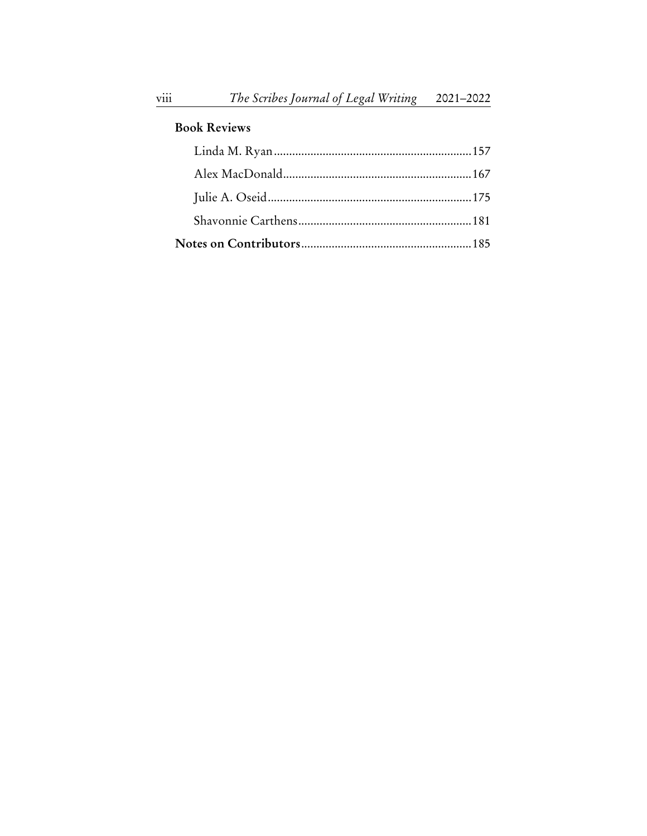#### **Book Reviews**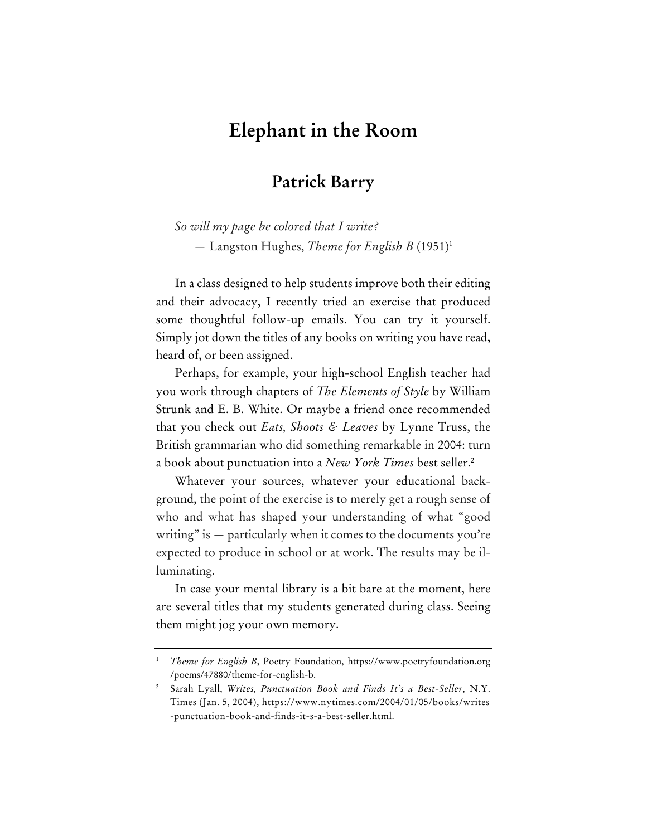## **Elephant in the Room**

#### **Patrick Barry**

*So will my page be colored that I write?*  — Langston Hughes, *Theme for English B* (1951)1

In a class designed to help students improve both their editing and their advocacy, I recently tried an exercise that produced some thoughtful follow-up emails. You can try it yourself. Simply jot down the titles of any books on writing you have read, heard of, or been assigned.

Perhaps, for example, your high-school English teacher had you work through chapters of *The Elements of Style* by William Strunk and E. B. White. Or maybe a friend once recommended that you check out *Eats, Shoots & Leaves* by Lynne Truss, the British grammarian who did something remarkable in 2004: turn a book about punctuation into a *New York Times* best seller.2

Whatever your sources, whatever your educational background, the point of the exercise is to merely get a rough sense of who and what has shaped your understanding of what "good writing" is — particularly when it comes to the documents you're expected to produce in school or at work. The results may be illuminating.

In case your mental library is a bit bare at the moment, here are several titles that my students generated during class. Seeing them might jog your own memory.

<sup>1</sup>  *Theme for English B*, Poetry Foundation, https://www.poetryfoundation.org /poems/47880/theme-for-english-b.

<sup>2</sup> Sarah Lyall, *Writes, Punctuation Book and Finds It's a Best-Seller*, N.Y. Times (Jan. 5, 2004), https://www.nytimes.com/2004/01/05/books/writes -punctuation-book-and-finds-it-s-a-best-seller.html.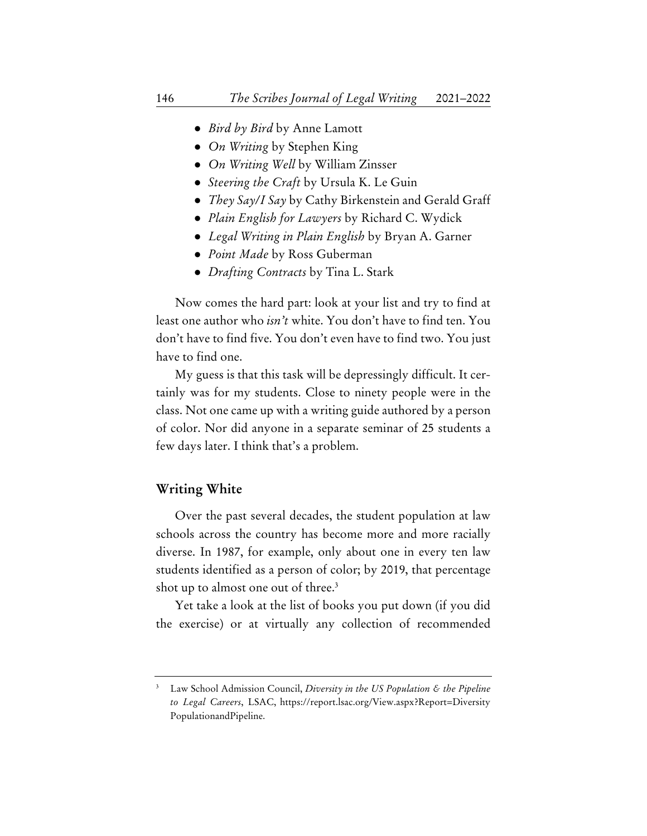- *Bird by Bird* by Anne Lamott
- *On Writing* by Stephen King
- *On Writing Well* by William Zinsser
- *Steering the Craft* by Ursula K. Le Guin
- *They Say/I Say* by Cathy Birkenstein and Gerald Graff
- *Plain English for Lawyers* by Richard C. Wydick
- *Legal Writing in Plain English* by Bryan A. Garner
- *Point Made* by Ross Guberman
- *Drafting Contracts* by Tina L. Stark

Now comes the hard part: look at your list and try to find at least one author who *isn't* white. You don't have to find ten. You don't have to find five. You don't even have to find two. You just have to find one.

My guess is that this task will be depressingly difficult. It certainly was for my students. Close to ninety people were in the class. Not one came up with a writing guide authored by a person of color. Nor did anyone in a separate seminar of 25 students a few days later. I think that's a problem.

#### **Writing White**

Over the past several decades, the student population at law schools across the country has become more and more racially diverse. In 1987, for example, only about one in every ten law students identified as a person of color; by 2019, that percentage shot up to almost one out of three.<sup>3</sup>

Yet take a look at the list of books you put down (if you did the exercise) or at virtually any collection of recommended

<sup>3</sup> Law School Admission Council, *Diversity in the US Population & the Pipeline to Legal Careers*, LSAC, https://report.lsac.org/View.aspx?Report=Diversity PopulationandPipeline.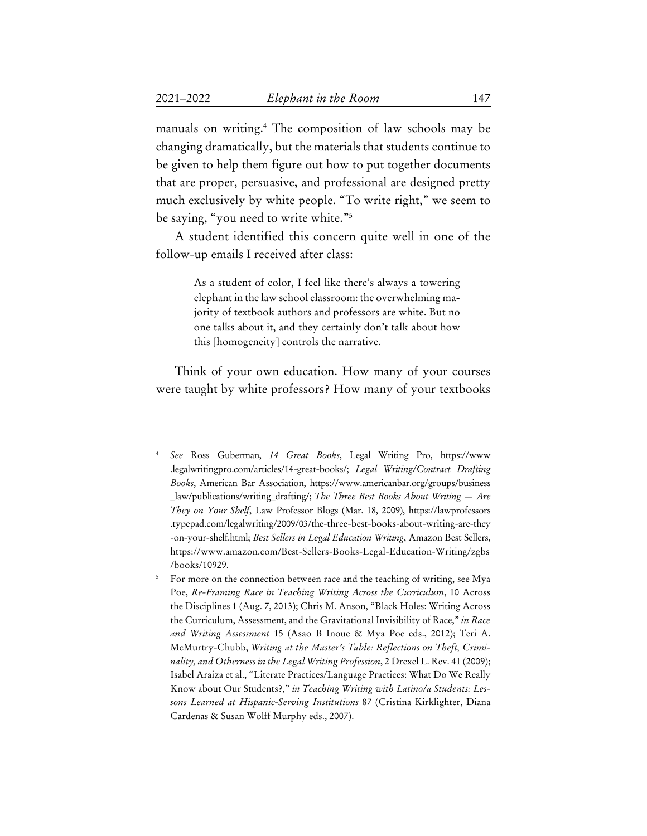manuals on writing.4 The composition of law schools may be changing dramatically, but the materials that students continue to be given to help them figure out how to put together documents that are proper, persuasive, and professional are designed pretty much exclusively by white people. "To write right," we seem to be saying, "you need to write white."5

A student identified this concern quite well in one of the follow-up emails I received after class:

> As a student of color, I feel like there's always a towering elephant in the law school classroom: the overwhelming majority of textbook authors and professors are white. But no one talks about it, and they certainly don't talk about how this [homogeneity] controls the narrative.

Think of your own education. How many of your courses were taught by white professors? How many of your textbooks

<sup>4</sup>  *See* Ross Guberman, *14 Great Books*, Legal Writing Pro, https://www .legalwritingpro.com/articles/14-great-books/; *Legal Writing/Contract Drafting Books*, American Bar Association, https://www.americanbar.org/groups/business \_law/publications/writing\_drafting/; *The Three Best Books About Writing — Are They on Your Shelf*, Law Professor Blogs (Mar. 18, 2009), https://lawprofessors .typepad.com/legalwriting/2009/03/the-three-best-books-about-writing-are-they -on-your-shelf.html; *Best Sellers in Legal Education Writing*, Amazon Best Sellers, https://www.amazon.com/Best-Sellers-Books-Legal-Education-Writing/zgbs /books/10929.

<sup>5</sup> For more on the connection between race and the teaching of writing, see Mya Poe, *Re-Framing Race in Teaching Writing Across the Curriculum*, 10 Across the Disciplines 1 (Aug. 7, 2013); Chris M. Anson, "Black Holes: Writing Across the Curriculum, Assessment, and the Gravitational Invisibility of Race," *in Race and Writing Assessment* 15 (Asao B Inoue & Mya Poe eds., 2012); Teri A. McMurtry-Chubb, *Writing at the Master's Table: Reflections on Theft, Criminality, and Otherness in the Legal Writing Profession*, 2 Drexel L. Rev. 41 (2009); Isabel Araiza et al., "Literate Practices/Language Practices: What Do We Really Know about Our Students?," *in Teaching Writing with Latino/a Students: Lessons Learned at Hispanic-Serving Institutions* 87 (Cristina Kirklighter, Diana Cardenas & Susan Wolff Murphy eds., 2007).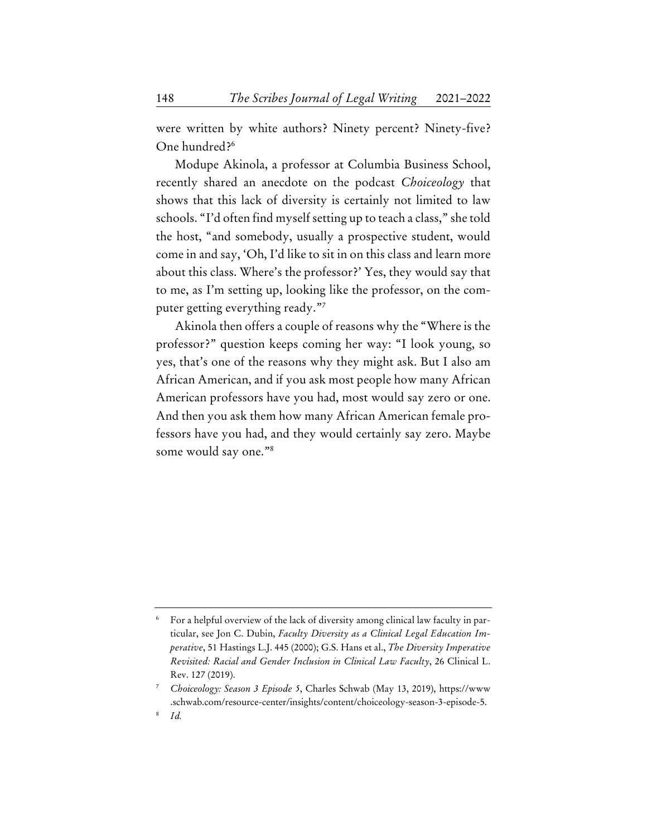were written by white authors? Ninety percent? Ninety-five? One hundred?6

Modupe Akinola, a professor at Columbia Business School, recently shared an anecdote on the podcast *Choiceology* that shows that this lack of diversity is certainly not limited to law schools. "I'd often find myself setting up to teach a class," she told the host, "and somebody, usually a prospective student, would come in and say, 'Oh, I'd like to sit in on this class and learn more about this class. Where's the professor?' Yes, they would say that to me, as I'm setting up, looking like the professor, on the computer getting everything ready."7

Akinola then offers a couple of reasons why the "Where is the professor?" question keeps coming her way: "I look young, so yes, that's one of the reasons why they might ask. But I also am African American, and if you ask most people how many African American professors have you had, most would say zero or one. And then you ask them how many African American female professors have you had, and they would certainly say zero. Maybe some would say one."8

<sup>6</sup> For a helpful overview of the lack of diversity among clinical law faculty in particular, see Jon C. Dubin, *Faculty Diversity as a Clinical Legal Education Imperative*, 51 Hastings L.J. 445 (2000); G.S. Hans et al., *The Diversity Imperative Revisited: Racial and Gender Inclusion in Clinical Law Faculty*, 26 Clinical L. Rev. 127 (2019).

<sup>7</sup>  *Choiceology: Season 3 Episode 5*, Charles Schwab (May 13, 2019), https://www .schwab.com/resource-center/insights/content/choiceology-season-3-episode-5.

<sup>8</sup>  *Id.*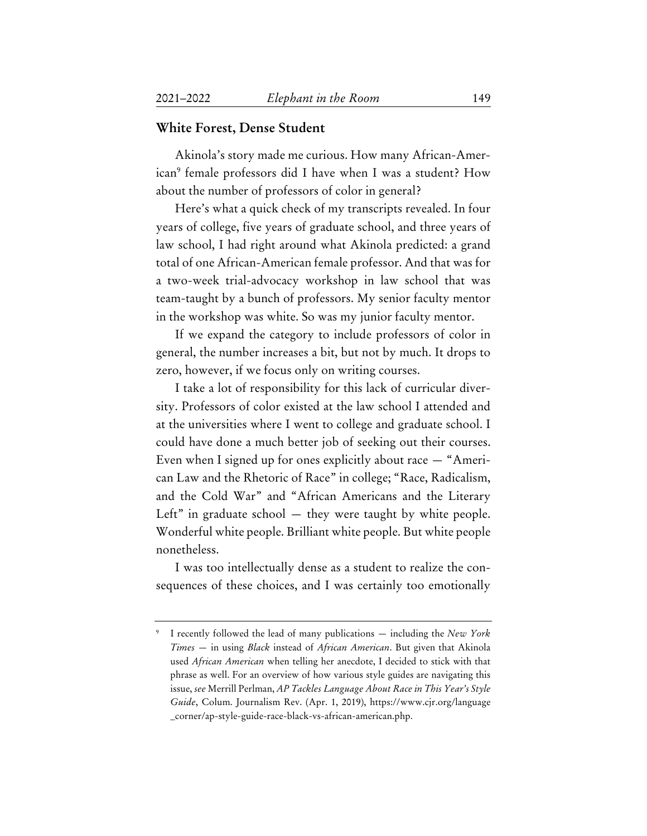#### **White Forest, Dense Student**

Akinola's story made me curious. How many African-American9 female professors did I have when I was a student? How about the number of professors of color in general?

Here's what a quick check of my transcripts revealed. In four years of college, five years of graduate school, and three years of law school, I had right around what Akinola predicted: a grand total of one African-American female professor. And that was for a two-week trial-advocacy workshop in law school that was team-taught by a bunch of professors. My senior faculty mentor in the workshop was white. So was my junior faculty mentor.

If we expand the category to include professors of color in general, the number increases a bit, but not by much. It drops to zero, however, if we focus only on writing courses.

I take a lot of responsibility for this lack of curricular diversity. Professors of color existed at the law school I attended and at the universities where I went to college and graduate school. I could have done a much better job of seeking out their courses. Even when I signed up for ones explicitly about race — "American Law and the Rhetoric of Race" in college; "Race, Radicalism, and the Cold War" and "African Americans and the Literary Left" in graduate school  $-$  they were taught by white people. Wonderful white people. Brilliant white people. But white people nonetheless.

I was too intellectually dense as a student to realize the consequences of these choices, and I was certainly too emotionally

<sup>9</sup> I recently followed the lead of many publications — including the *New York Times* — in using *Black* instead of *African American*. But given that Akinola used *African American* when telling her anecdote, I decided to stick with that phrase as well. For an overview of how various style guides are navigating this issue, *see* Merrill Perlman, *AP Tackles Language About Race in This Year's Style Guide*, Colum. Journalism Rev. (Apr. 1, 2019), https://www.cjr.org/language \_corner/ap-style-guide-race-black-vs-african-american.php.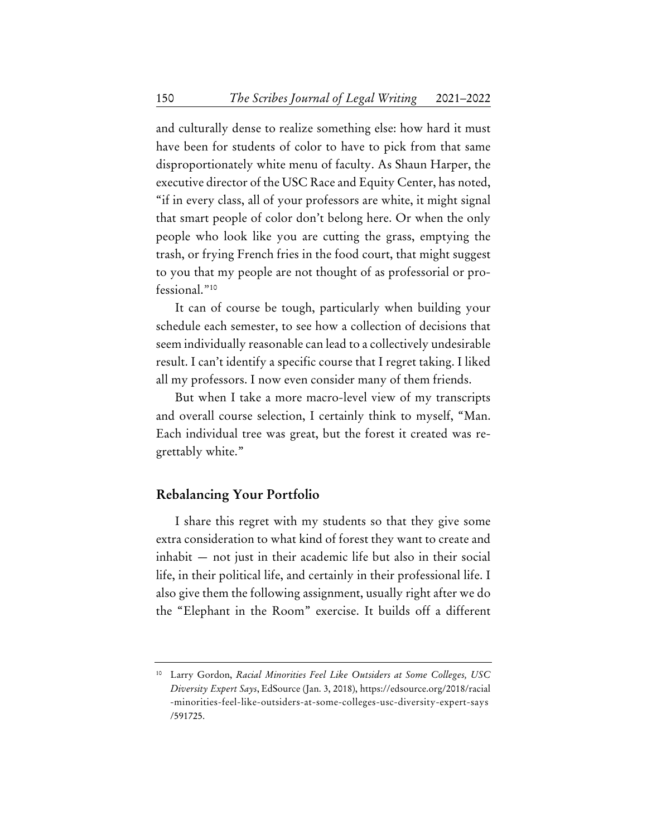and culturally dense to realize something else: how hard it must have been for students of color to have to pick from that same disproportionately white menu of faculty. As Shaun Harper, the executive director of the USC Race and Equity Center, has noted, "if in every class, all of your professors are white, it might signal that smart people of color don't belong here. Or when the only people who look like you are cutting the grass, emptying the trash, or frying French fries in the food court, that might suggest to you that my people are not thought of as professorial or professional."10

It can of course be tough, particularly when building your schedule each semester, to see how a collection of decisions that seem individually reasonable can lead to a collectively undesirable result. I can't identify a specific course that I regret taking. I liked all my professors. I now even consider many of them friends.

But when I take a more macro-level view of my transcripts and overall course selection, I certainly think to myself, "Man. Each individual tree was great, but the forest it created was regrettably white."

#### **Rebalancing Your Portfolio**

I share this regret with my students so that they give some extra consideration to what kind of forest they want to create and inhabit — not just in their academic life but also in their social life, in their political life, and certainly in their professional life. I also give them the following assignment, usually right after we do the "Elephant in the Room" exercise. It builds off a different

<sup>10</sup> Larry Gordon, *Racial Minorities Feel Like Outsiders at Some Colleges, USC Diversity Expert Says*, EdSource (Jan. 3, 2018), https://edsource.org/2018/racial -minorities-feel-like-outsiders-at-some-colleges-usc-diversity-expert-says /591725.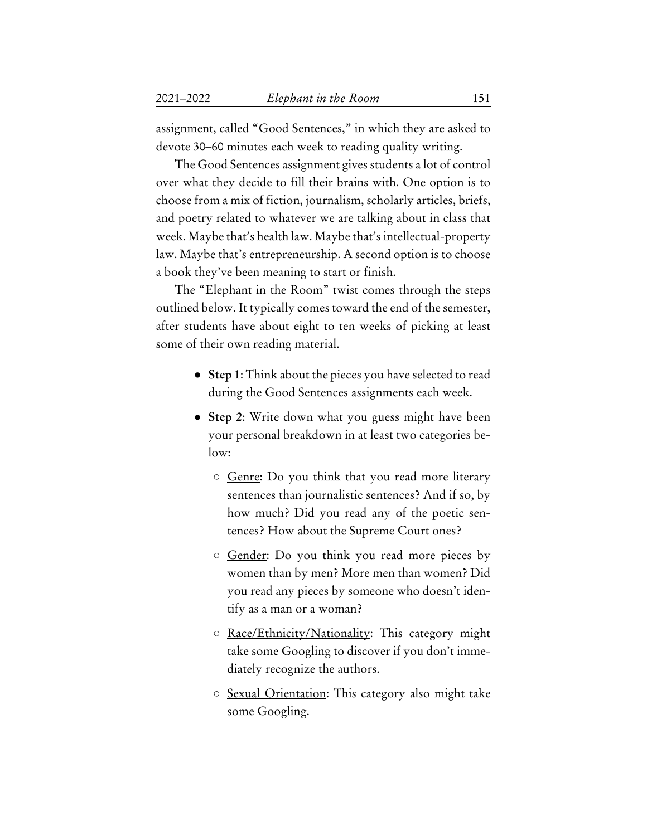assignment, called "Good Sentences," in which they are asked to devote 30–60 minutes each week to reading quality writing.

The Good Sentences assignment gives students a lot of control over what they decide to fill their brains with. One option is to choose from a mix of fiction, journalism, scholarly articles, briefs, and poetry related to whatever we are talking about in class that week. Maybe that's health law. Maybe that's intellectual-property law. Maybe that's entrepreneurship. A second option is to choose a book they've been meaning to start or finish.

The "Elephant in the Room" twist comes through the steps outlined below. It typically comes toward the end of the semester, after students have about eight to ten weeks of picking at least some of their own reading material.

- **Step 1**: Think about the pieces you have selected to read during the Good Sentences assignments each week.
- **Step 2**: Write down what you guess might have been your personal breakdown in at least two categories below:
	- Genre: Do you think that you read more literary sentences than journalistic sentences? And if so, by how much? Did you read any of the poetic sentences? How about the Supreme Court ones?
	- Gender: Do you think you read more pieces by women than by men? More men than women? Did you read any pieces by someone who doesn't identify as a man or a woman?
	- Race/Ethnicity/Nationality: This category might take some Googling to discover if you don't immediately recognize the authors.
	- Sexual Orientation: This category also might take some Googling.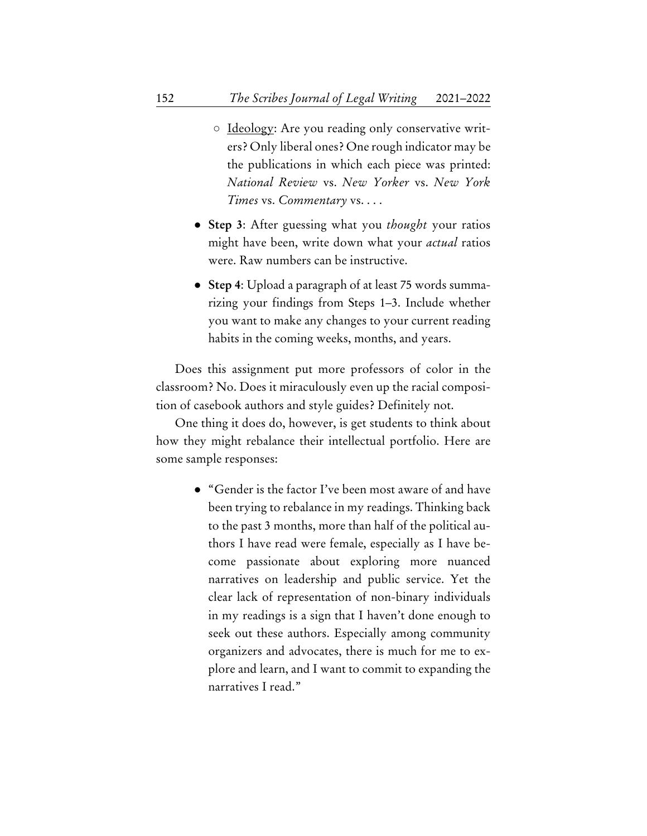- Ideology: Are you reading only conservative writers? Only liberal ones? One rough indicator may be the publications in which each piece was printed: *National Review* vs. *New Yorker* vs. *New York Times* vs. *Commentary* vs. . . .
- **Step 3**: After guessing what you *thought* your ratios might have been, write down what your *actual* ratios were. Raw numbers can be instructive.
- **Step 4**: Upload a paragraph of at least 75 words summarizing your findings from Steps 1–3. Include whether you want to make any changes to your current reading habits in the coming weeks, months, and years.

Does this assignment put more professors of color in the classroom? No. Does it miraculously even up the racial composition of casebook authors and style guides? Definitely not.

One thing it does do, however, is get students to think about how they might rebalance their intellectual portfolio. Here are some sample responses:

> ● "Gender is the factor I've been most aware of and have been trying to rebalance in my readings. Thinking back to the past 3 months, more than half of the political authors I have read were female, especially as I have become passionate about exploring more nuanced narratives on leadership and public service. Yet the clear lack of representation of non-binary individuals in my readings is a sign that I haven't done enough to seek out these authors. Especially among community organizers and advocates, there is much for me to explore and learn, and I want to commit to expanding the narratives I read."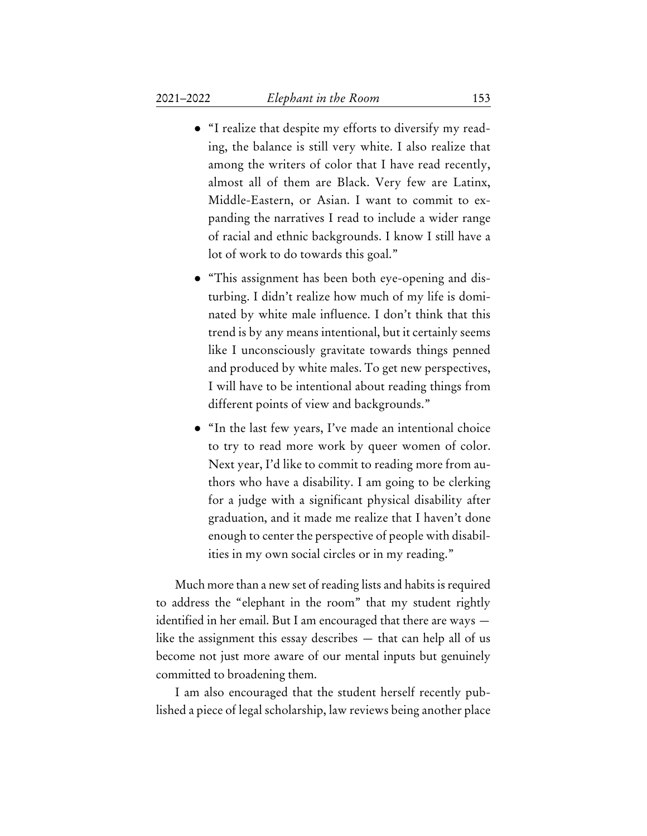- "I realize that despite my efforts to diversify my reading, the balance is still very white. I also realize that among the writers of color that I have read recently, almost all of them are Black. Very few are Latinx, Middle-Eastern, or Asian. I want to commit to expanding the narratives I read to include a wider range of racial and ethnic backgrounds. I know I still have a lot of work to do towards this goal."
- "This assignment has been both eye-opening and disturbing. I didn't realize how much of my life is dominated by white male influence. I don't think that this trend is by any means intentional, but it certainly seems like I unconsciously gravitate towards things penned and produced by white males. To get new perspectives, I will have to be intentional about reading things from different points of view and backgrounds."
- "In the last few years, I've made an intentional choice to try to read more work by queer women of color. Next year, I'd like to commit to reading more from authors who have a disability. I am going to be clerking for a judge with a significant physical disability after graduation, and it made me realize that I haven't done enough to center the perspective of people with disabilities in my own social circles or in my reading."

Much more than a new set of reading lists and habits is required to address the "elephant in the room" that my student rightly identified in her email. But I am encouraged that there are ways like the assignment this essay describes — that can help all of us become not just more aware of our mental inputs but genuinely committed to broadening them.

I am also encouraged that the student herself recently published a piece of legal scholarship, law reviews being another place